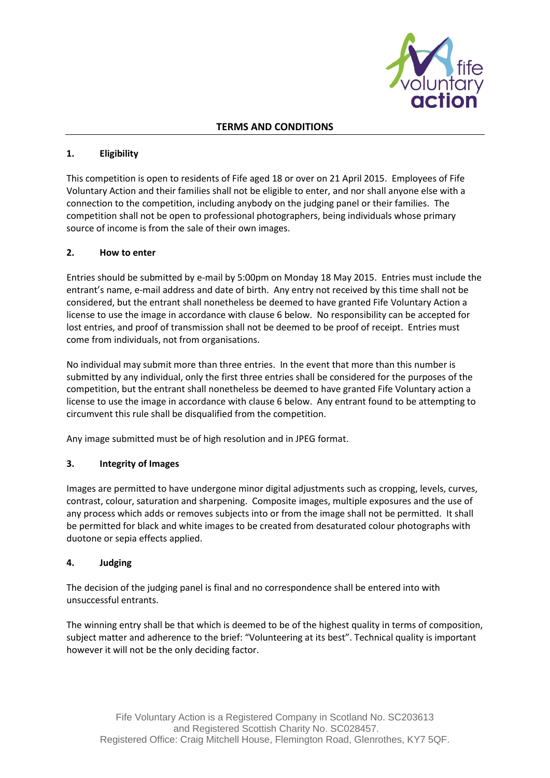

### **TERMS AND CONDITIONS**

## **1. Eligibility**

This competition is open to residents of Fife aged 18 or over on 21 April 2015. Employees of Fife Voluntary Action and their families shall not be eligible to enter, and nor shall anyone else with a connection to the competition, including anybody on the judging panel or their families. The competition shall not be open to professional photographers, being individuals whose primary source of income is from the sale of their own images.

#### **2. How to enter**

Entries should be submitted by e-mail by 5:00pm on Monday 18 May 2015. Entries must include the entrant's name, e-mail address and date of birth. Any entry not received by this time shall not be considered, but the entrant shall nonetheless be deemed to have granted Fife Voluntary Action a license to use the image in accordance with clause 6 below. No responsibility can be accepted for lost entries, and proof of transmission shall not be deemed to be proof of receipt. Entries must come from individuals, not from organisations.

No individual may submit more than three entries. In the event that more than this number is submitted by any individual, only the first three entries shall be considered for the purposes of the competition, but the entrant shall nonetheless be deemed to have granted Fife Voluntary action a license to use the image in accordance with clause 6 below. Any entrant found to be attempting to circumvent this rule shall be disqualified from the competition.

Any image submitted must be of high resolution and in JPEG format.

## **3. Integrity of Images**

Images are permitted to have undergone minor digital adjustments such as cropping, levels, curves, contrast, colour, saturation and sharpening. Composite images, multiple exposures and the use of any process which adds or removes subjects into or from the image shall not be permitted. It shall be permitted for black and white images to be created from desaturated colour photographs with duotone or sepia effects applied.

#### **4. Judging**

The decision of the judging panel is final and no correspondence shall be entered into with unsuccessful entrants.

The winning entry shall be that which is deemed to be of the highest quality in terms of composition, subject matter and adherence to the brief: "Volunteering at its best". Technical quality is important however it will not be the only deciding factor.